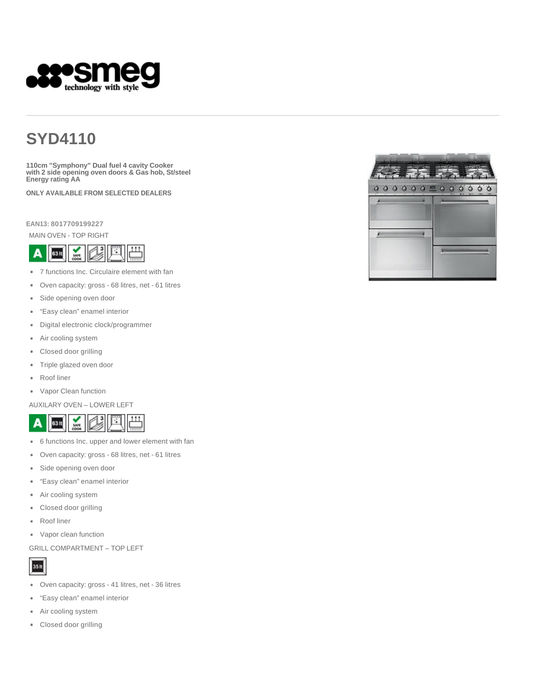

# **SYD4110**

**110cm "Symphony" Dual fuel 4 cavity Cooker with 2 side opening oven doors & Gas hob, St/steel Energy rating AA**

**ONLY AVAILABLE FROM SELECTED DEALERS**

**EAN13: 8017709199227**

MAIN OVEN - TOP RIGHT



- 7 functions Inc. Circulaire element with fan
- Oven capacity: gross 68 litres, net 61 litres
- Side opening oven door  $\bullet$
- "Easy clean" enamel interior ٠
- Digital electronic clock/programmer
- Air cooling system
- Closed door grilling
- Triple glazed oven door
- ٠ Roof liner
- Vapor Clean function

AUXILARY OVEN – LOWER LEFT



- 6 functions Inc. upper and lower element with fan ٠
- Oven capacity: gross 68 litres, net 61 litres
- Side opening oven door ٠
- "Easy clean" enamel interior ۰
- Air cooling system
- Closed door grilling ٠
- Roof liner
- Vapor clean function

GRILL COMPARTMENT – TOP LEFT



- Oven capacity: gross 41 litres, net 36 litres
- ٠ "Easy clean" enamel interior
- Air cooling system
- Closed door grilling٠

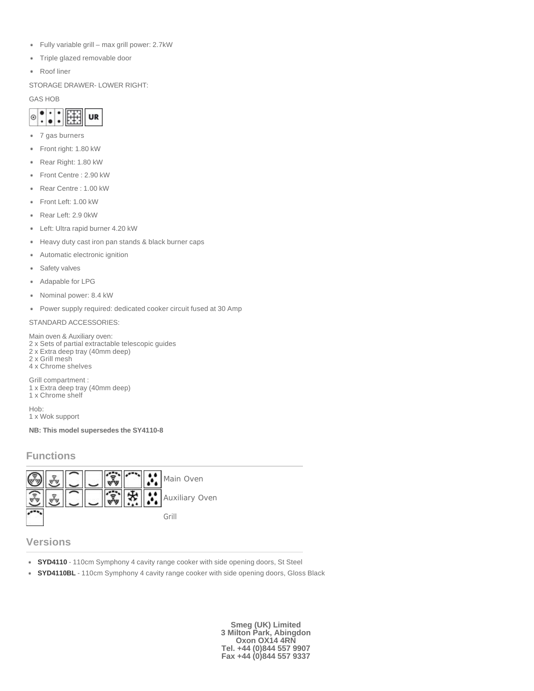- Fully variable grill max grill power: 2.7kW
- Triple glazed removable door
- Roof liner

STORAGE DRAWER- LOWER RIGHT:

#### GAS HOB



- 7 gas burners
- Front right: 1.80 kW
- Rear Right: 1.80 kW
- Front Centre : 2.90 kW ٠
- Rear Centre : 1.00 kW ٠
- Front Left: 1.00 kW
- Rear Left: 2.9 0kW
- Left: Ultra rapid burner 4.20 kW
- Heavy duty cast iron pan stands & black burner caps
- Automatic electronic ignition
- Safety valves ٠
- Adapable for LPG
- Nominal power: 8.4 kW
- Power supply required: dedicated cooker circuit fused at 30 Amp

#### STANDARD ACCESSORIES:

Main oven & Auxiliary oven: 2 x Sets of partial extractable telescopic guides 2 x Extra deep tray (40mm deep) 2 x Grill mesh 4 x Chrome shelves Grill compartment :

1 x Extra deep tray (40mm deep) 1 x Chrome shelf

Hob: 1 x Wok support

**NB: This model supersedes the SY4110-8**

### **Functions**



### **Versions**

- **SYD4110** 110cm Symphony 4 cavity range cooker with side opening doors, St Steel
- **SYD4110BL** 110cm Symphony 4 cavity range cooker with side opening doors, Gloss Black

**Smeg (UK) Limited 3 Milton Park, Abingdon Oxon OX14 4RN Tel. +44 (0)844 557 9907 Fax +44 (0)844 557 9337**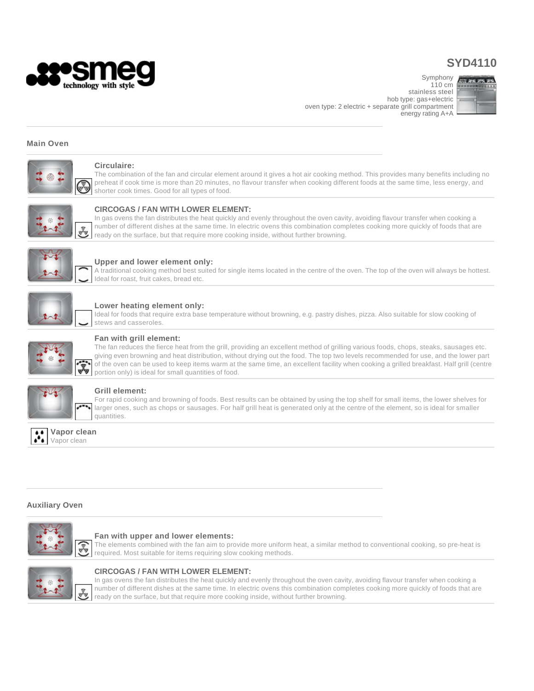

## **SYD4110**

110 cm stainless steel hob type: gas+electric oven type: 2 electric + separate grill compartment energy rating A+A



#### **Main Oven**



#### **Circulaire:**

The combination of the fan and circular element around it gives a hot air cooking method. This provides many benefits including no preheat if cook time is more than 20 minutes, no flavour transfer when cooking different foods at the same time, less energy, and shorter cook times. Good for all types of food.



#### **CIRCOGAS / FAN WITH LOWER ELEMENT:**

In gas ovens the fan distributes the heat quickly and evenly throughout the oven cavity, avoiding flavour transfer when cooking a number of different dishes at the same time. In electric ovens this combination completes cooking more quickly of foods that are ready on the surface, but that require more cooking inside, without further browning.



#### **Upper and lower element only:**

A traditional cooking method best suited for single items located in the centre of the oven. The top of the oven will always be hottest. Ideal for roast, fruit cakes, bread etc.



#### **Lower heating element only:**

Ideal for foods that require extra base temperature without browning, e.g. pastry dishes, pizza. Also suitable for slow cooking of stews and casseroles.



#### **Fan with grill element:**

The fan reduces the fierce heat from the grill, providing an excellent method of grilling various foods, chops, steaks, sausages etc. giving even browning and heat distribution, without drying out the food. The top two levels recommended for use, and the lower part of the oven can be used to keep items warm at the same time, an excellent facility when cooking a grilled breakfast. Half grill (centre portion only) is ideal for small quantities of food.



#### **Grill element:**

For rapid cooking and browning of foods. Best results can be obtained by using the top shelf for small items, the lower shelves for larger ones, such as chops or sausages. For half grill heat is generated only at the centre of the element, so is ideal for smaller quantities.



#### **Auxiliary Oven**



#### **Fan with upper and lower elements:**

The elements combined with the fan aim to provide more uniform heat, a similar method to conventional cooking, so pre-heat is required. Most suitable for items requiring slow cooking methods.



#### **CIRCOGAS / FAN WITH LOWER ELEMENT:**

In gas ovens the fan distributes the heat quickly and evenly throughout the oven cavity, avoiding flavour transfer when cooking a number of different dishes at the same time. In electric ovens this combination completes cooking more quickly of foods that are ready on the surface, but that require more cooking inside, without further browning.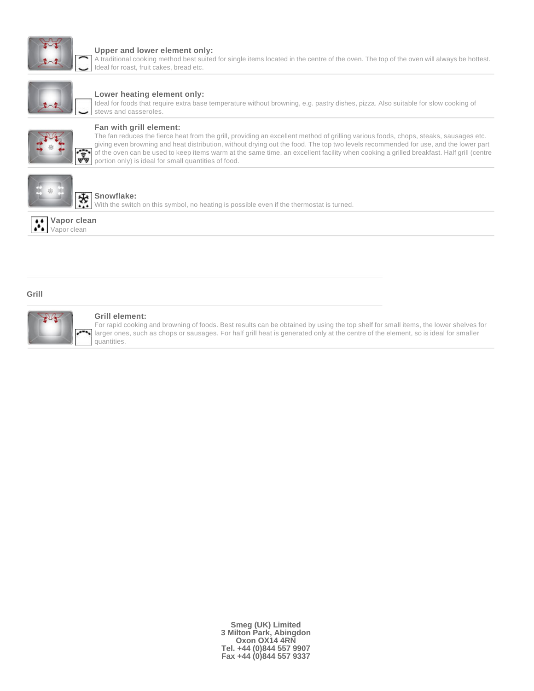

#### **Upper and lower element only:**

A traditional cooking method best suited for single items located in the centre of the oven. The top of the oven will always be hottest. Ideal for roast, fruit cakes, bread etc.



#### **Lower heating element only:**

Ideal for foods that require extra base temperature without browning, e.g. pastry dishes, pizza. Also suitable for slow cooking of stews and casseroles.



#### **Fan with grill element:**

The fan reduces the fierce heat from the grill, providing an excellent method of grilling various foods, chops, steaks, sausages etc. giving even browning and heat distribution, without drying out the food. The top two levels recommended for use, and the lower part of the oven can be used to keep items warm at the same time, an excellent facility when cooking a grilled breakfast. Half grill (centre portion only) is ideal for small quantities of food.



#### ₩ **Snowflake:**

With the switch on this symbol, no heating is possible even if the thermostat is turned.



#### **Grill**



#### **Grill element:**

For rapid cooking and browning of foods. Best results can be obtained by using the top shelf for small items, the lower shelves for larger ones, such as chops or sausages. For half grill heat is generated only at the centre of the element, so is ideal for smaller quantities.

> **Smeg (UK) Limited 3 Milton Park, Abingdon Oxon OX14 4RN Tel. +44 (0)844 557 9907 Fax +44 (0)844 557 9337**